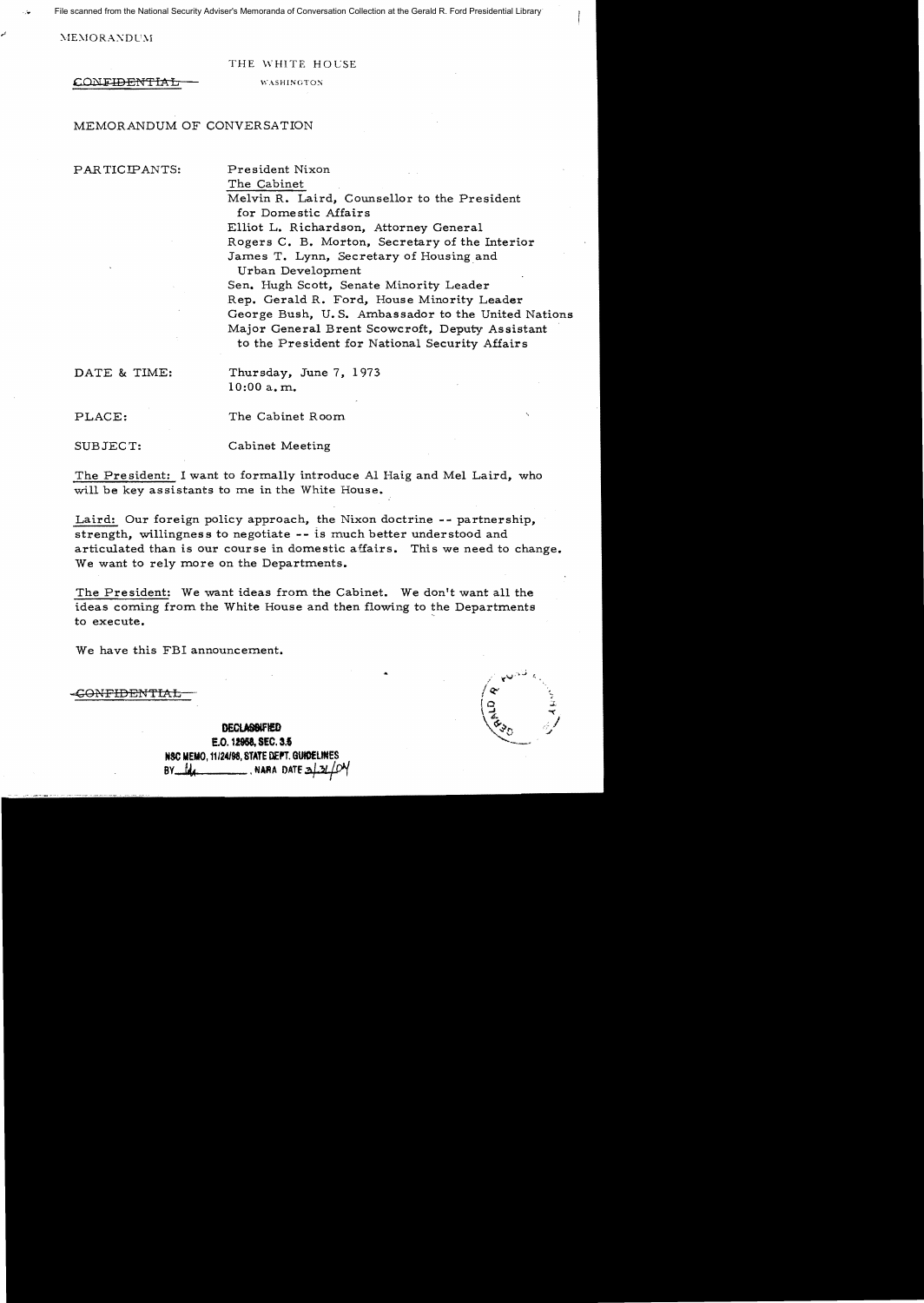File scanned from the National Security Adviser's Memoranda of Conversation Collection at the Gerald R. Ford Presidential Library

 $MEMORANDUM$ 

## THE WHITE HOCSE

CONFIDENTIAL WASHINGTON

MEMORANDUM OF CONVERSATION

PARTICIPANTS: President Nixon

The Cabinet

Melvin R. Laird, Counsellor to the President for Domestic Affairs Elliot L. Richardson, Attorney General Rogers C. B. Morton, Secretary of the Interior James T. Lynn, Secretary of Housing and Urban Development

Sen. Hugh Scott, Senate Minority Leader Rep. Gerald R. Ford, House Minority Leader George Bush, U. S. Ambassador to the United Nations Major General Brent Scowcroft, Deputy Assistant to the President for National Security Affairs

DATE & TIME: Thursday, June 7, 1973 10:00 a. m.

PLACE: The Cabinet Room

SUBJECT: Cabinet Meeting

The President: I want to formally introduce Al Haig and Mel Laird, who will be key assistants to me in the White House.

Laird: Our foreign policy approach, the Nixon doctrine -- partnership, strength, willingness to negotiate -- is much better understood and articulated than is our course in domestic affairs. This we need to change. We want to rely more on the Departments.

The President: We want ideas from the Cabinet. We don't want all the ideas coming from the White House and then flowing to the Departments to execute.

We have this FBI announcement.

-G<del>ONFIDENTIAI</del>

DECLASSIFIED  $\begin{pmatrix} 1 & 1 & 1 \\ 0 & 0 & 0 \\ 0 & 0 & 0 \end{pmatrix}$  E.O. 12958, SEC. 3.5 NSC MEMO, 11/24/98, STATE DEPT. GUIDI BY *U*• **A NARA DATE 2** 

۽ الاص بر  $\overline{9}$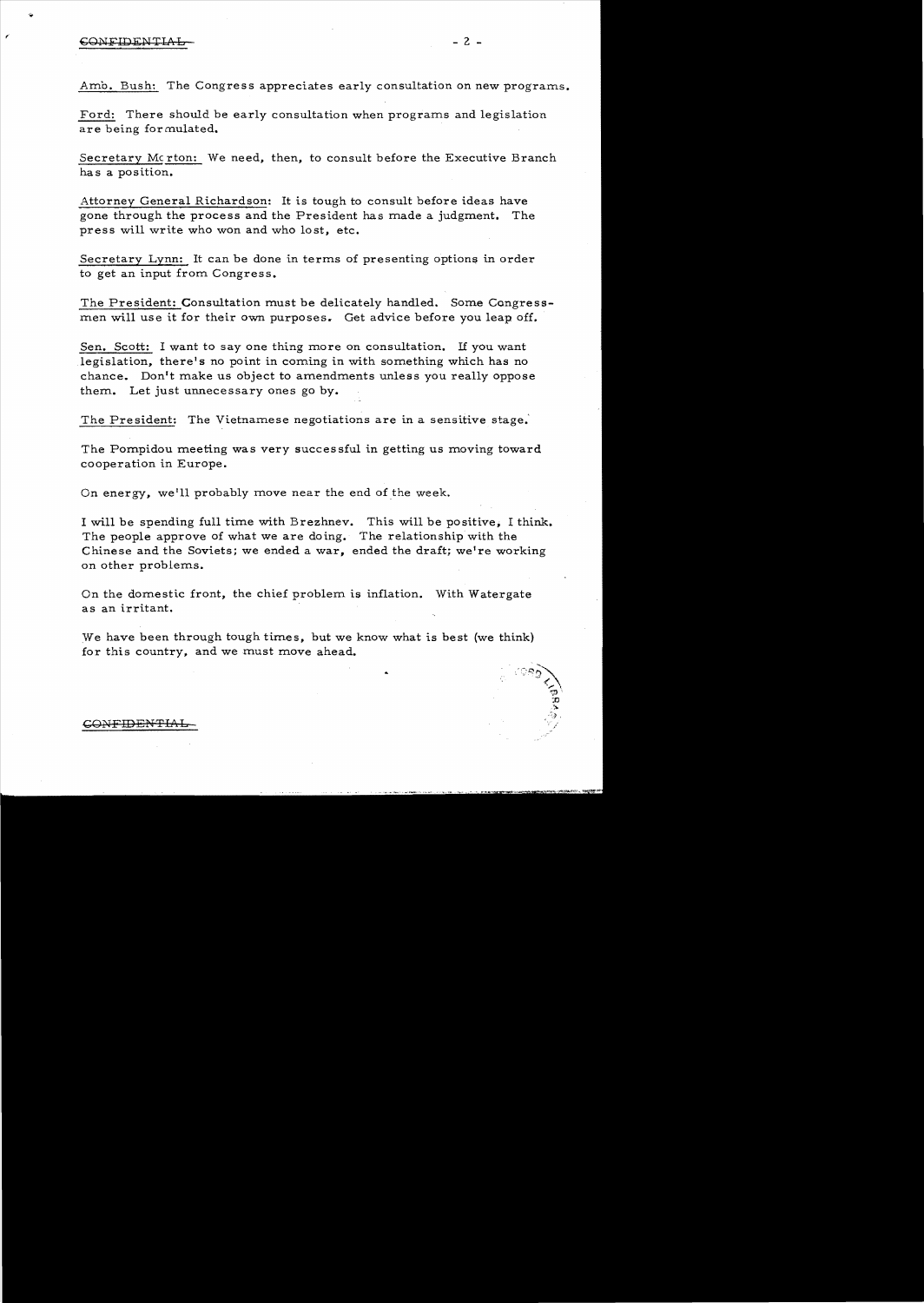## $\mathcal{L}$  = 2 -  $\mathcal{L}$  - 2 -  $\mathcal{L}$

Amb. Bush: The Congress appreciates early consultation on new programs.

Ford: There should be early consultation when programs and legislation are being formulated.

Secretary Merton: We need, then, to consult before the Executive Branch has a position.

Attorney General Richardson: It is tough to consult before ideas have gone through the process and the President has made a judgment. The press will write who won and who lost, etc.

Secretary Lynn: It can be done in terms of presenting options in order to get an input from Congress.

The President: Consultation must be delicately handled. Some Congressmen will use it for their own purposes. Get advice before you leap off.

Sen. Scott: I want to say one thing more on consultation. If you want legislation, there's no point in coming in with something which has no chance. Don't make us object to amendments unless you really oppose them. Let just unnecessary ones go by.

The President: The Vietnamese negotiations are in a sensitive stage.'

The Pompidou meeting was very successful in getting us moving toward cooperation in Europe.

On energy, we'll probably move near the end of the week.

I will be spending full time with Brezhnev. This will be positive, I think. The people approve of what we are doing. The relationship with the Chinese and the Soviets; we ended a war, ended the draft; we're working on other problems.

On the domestic front, the chief problem is inflation. With Watergate as an irritant.

We have been through tough times, but we know what is best (we think) for this country, and we must move ahead.

## GONFIDENTIAL

:':~::';~

 $\mathfrak{D}^+$  $\mathbb{R}^2$ ..  $\rightarrow$  ,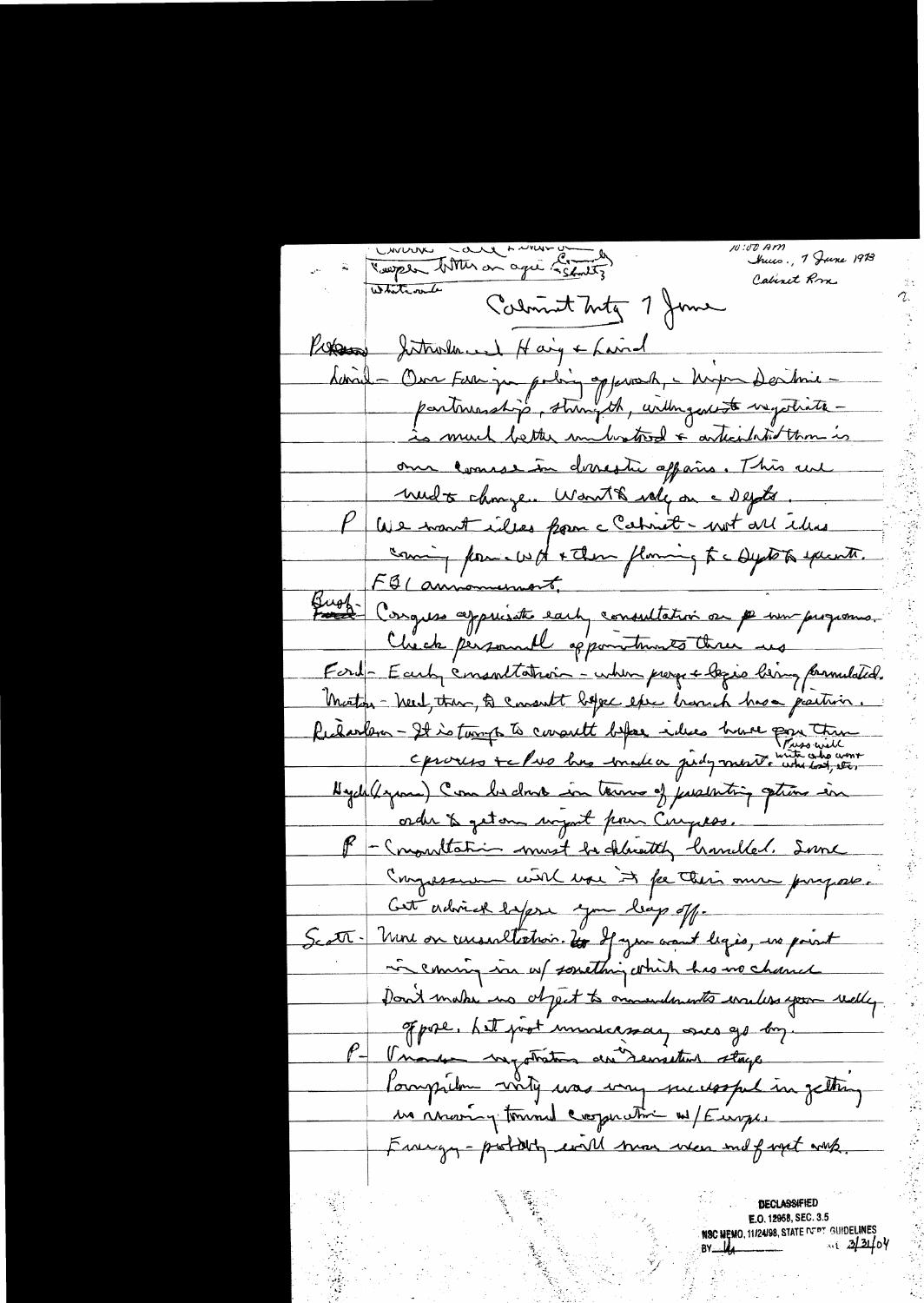Concrete Lade Anne 1907 Juness, 1 June 1913 Cabinet Rm Whatevale Calmint Inty 7 June Proposa Jutnoland Haig & Laind danil - Our Far par poling opperaly - hupe Dertmin partimentifs, stringth, urlingentiste vagethate -<u>às much better unboatrod a articulation than is</u> om conserve devesti aparis. This are <u> undt change. Want & volg on a depte.</u> We want illes from c Cahret - not all illes coming pour word + then flowing to a system execute. FBI announcement Bugh-Conques appuisates each consultation on per sur programs. Check personnell oppometrants three us Ford-Early consortation - when progre logie bing paraulated. Motor - Need, then, to consult before esse brough has a partisin. Richarlem - It is tours to consult before ideas have pour time Oproceso te Pres bus madea pidymento who both our Hyde(byron) Com bedon in terms of pushiting strong in order & geton wynt pour Comptes. F - Commutation must be charactely hamilled. Some Congression with use it for their own prosport. Cett advise lapse you leap off. Scatt. More on recessaltation. Un of you want legio, no point in coming in us something which has no chance Don't make us object to onnendements wales you redly. of pose, hat just universide, once go by. P- Unader mystration du Demeters stage Pompilm wity was very successful in getting us moon y tournal cooperation of Europe. Frangy-postally will more wear and fayet with. **DECLASSIFIED** 

E.O. 12958, SEC. 3.5 NSC NEMO, 11/24/98, STATE DEPT GUIDELINES<br>BY ULA